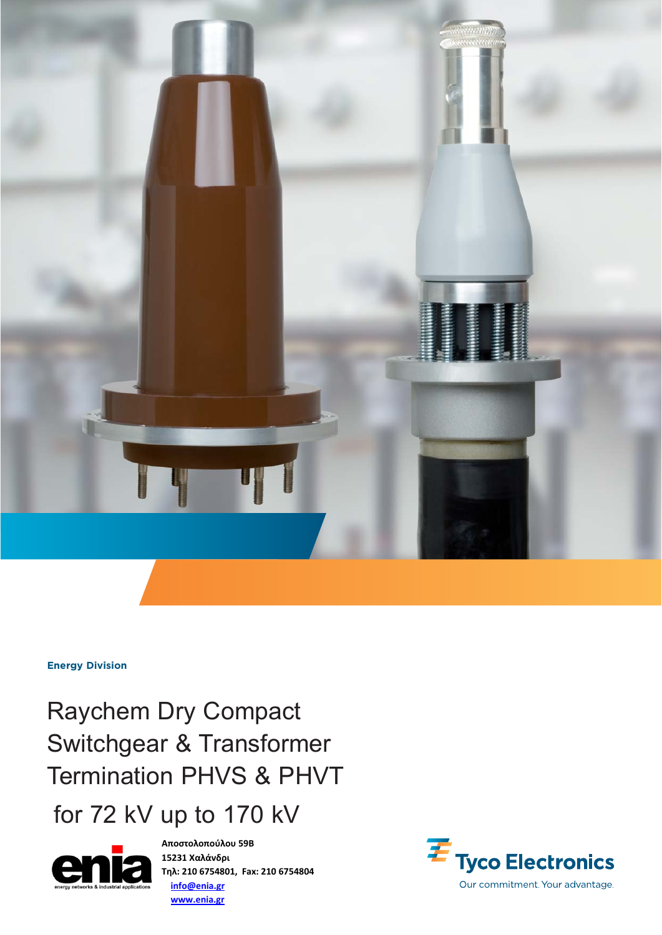

**Energy Division**

Raychem Dry Compact Switchgear & Transformer Termination PHVS & PHVT

for 72 kV up to 170 kV



**Αποστολοπούλου 59Β 15231 Χαλάνδρι Τηλ: 210 6754801, Fax: 210 6754804 info@enia.gr www.enia.gr**